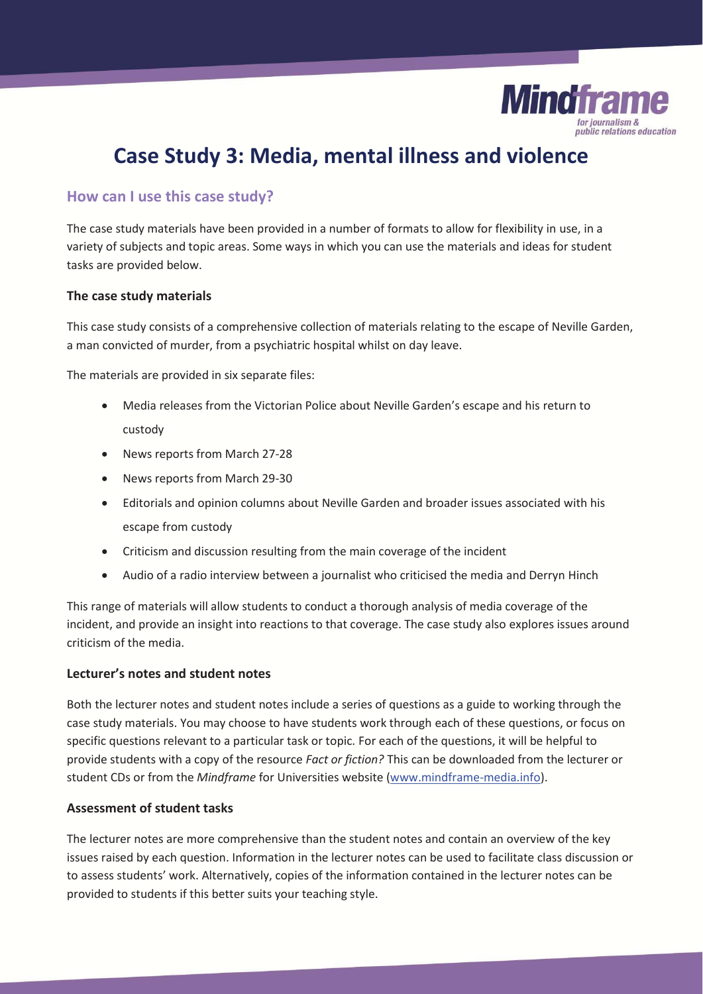

# **Case Study 3: Media, mental illness and violence**

## **How can I use this case study?**

The case study materials have been provided in a number of formats to allow for flexibility in use, in a variety of subjects and topic areas. Some ways in which you can use the materials and ideas for student tasks are provided below.

#### **The case study materials**

This case study consists of a comprehensive collection of materials relating to the escape of Neville Garden, a man convicted of murder, from a psychiatric hospital whilst on day leave.

The materials are provided in six separate files:

- Media releases from the Victorian Police about Neville Garden's escape and his return to custody
- News reports from March 27-28
- News reports from March 29-30
- Editorials and opinion columns about Neville Garden and broader issues associated with his escape from custody
- Criticism and discussion resulting from the main coverage of the incident
- x Audio of a radio interview between a journalist who criticised the media and Derryn Hinch

This range of materials will allow students to conduct a thorough analysis of media coverage of the incident, and provide an insight into reactions to that coverage. The case study also explores issues around criticism of the media.

### **Lecturer's notes and student notes**

Both the lecturer notes and student notes include a series of questions as a guide to working through the case study materials. You may choose to have students work through each of these questions, or focus on specific questions relevant to a particular task or topic. For each of the questions, it will be helpful to provide students with a copy of the resource *Fact or fiction?* This can be downloaded from the lecturer or student CDs or from the *Mindframe* for Universities website (www.mindframe-media.info).

### **Assessment of student tasks**

The lecturer notes are more comprehensive than the student notes and contain an overview of the key issues raised by each question. Information in the lecturer notes can be used to facilitate class discussion or to assess students' work. Alternatively, copies of the information contained in the lecturer notes can be provided to students if this better suits your teaching style.